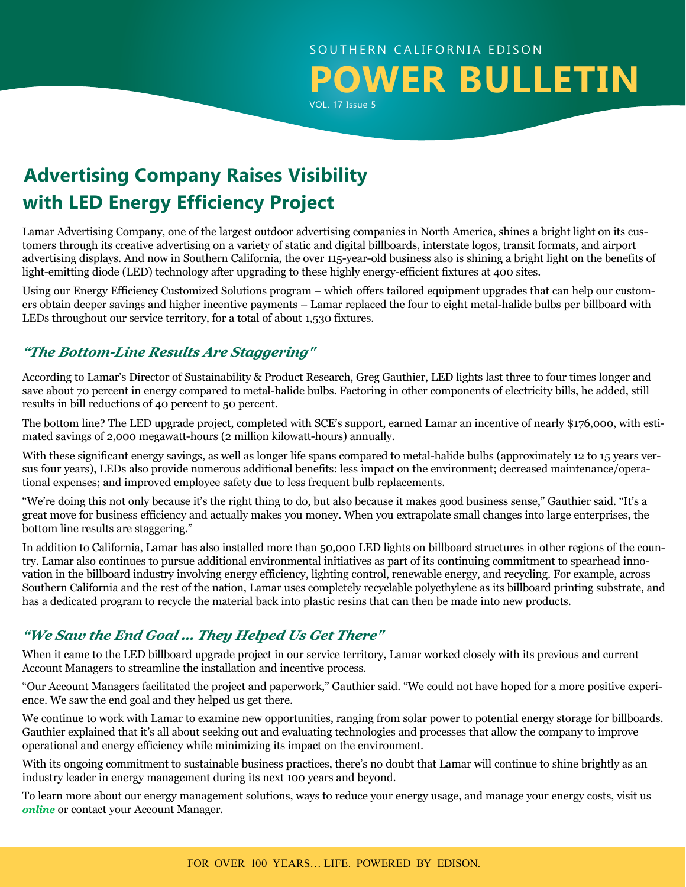## SOUTHERN CALIFORNIA EDISON **POWER BULLETIN** VOL. 17 Issue 5

# **Advertising Company Raises Visibility with LED Energy Efficiency Project**

Lamar Advertising Company, one of the largest outdoor advertising companies in North America, shines a bright light on its customers through its creative advertising on a variety of static and digital billboards, interstate logos, transit formats, and airport advertising displays. And now in Southern California, the over 115-year-old business also is shining a bright light on the benefits of light-emitting diode (LED) technology after upgrading to these highly energy-efficient fixtures at 400 sites.

Using our Energy Efficiency Customized Solutions program – which offers tailored equipment upgrades that can help our customers obtain deeper savings and higher incentive payments – Lamar replaced the four to eight metal-halide bulbs per billboard with LEDs throughout our service territory, for a total of about 1,530 fixtures.

### *"The Bottom-Line Results Are Staggering"*

According to Lamar's Director of Sustainability & Product Research, Greg Gauthier, LED lights last three to four times longer and save about 70 percent in energy compared to metal-halide bulbs. Factoring in other components of electricity bills, he added, still results in bill reductions of 40 percent to 50 percent.

The bottom line? The LED upgrade project, completed with SCE's support, earned Lamar an incentive of nearly \$176,000, with estimated savings of 2,000 megawatt-hours (2 million kilowatt-hours) annually.

With these significant energy savings, as well as longer life spans compared to metal-halide bulbs (approximately 12 to 15 years versus four years), LEDs also provide numerous additional benefits: less impact on the environment; decreased maintenance/operational expenses; and improved employee safety due to less frequent bulb replacements.

"We're doing this not only because it's the right thing to do, but also because it makes good business sense," Gauthier said. "It's a great move for business efficiency and actually makes you money. When you extrapolate small changes into large enterprises, the bottom line results are staggering."

In addition to California, Lamar has also installed more than 50,000 LED lights on billboard structures in other regions of the country. Lamar also continues to pursue additional environmental initiatives as part of its continuing commitment to spearhead innovation in the billboard industry involving energy efficiency, lighting control, renewable energy, and recycling. For example, across Southern California and the rest of the nation, Lamar uses completely recyclable polyethylene as its billboard printing substrate, and has a dedicated program to recycle the material back into plastic resins that can then be made into new products.

## *"We Saw the End Goal … They Helped Us Get There"*

When it came to the LED billboard upgrade project in our service territory, Lamar worked closely with its previous and current Account Managers to streamline the installation and incentive process.

"Our Account Managers facilitated the project and paperwork," Gauthier said. "We could not have hoped for a more positive experience. We saw the end goal and they helped us get there.

We continue to work with Lamar to examine new opportunities, ranging from solar power to potential energy storage for billboards. Gauthier explained that it's all about seeking out and evaluating technologies and processes that allow the company to improve operational and energy efficiency while minimizing its impact on the environment.

With its ongoing commitment to sustainable business practices, there's no doubt that Lamar will continue to shine brightly as an industry leader in energy management during its next 100 years and beyond.

To learn more about our energy management solutions, ways to reduce your energy usage, and manage your energy costs, visit us *[online](https://www.sce.com/wps/portal/home/business/!ut/p/b1/04_Sj9CPykssy0xPLMnMz0vMAfGjzOINLdwdPTyDDTzdg8yNDDy9wlx9_J0MjQxMjIAKIoEKDHAARwNC-sP1o8BKLN0NXD28_IFKQgKNDTyNAw38gh0djQ0MzKAK8FhRkBthkOmoqAgAS2tzeQ!!/dl4/d5/L2dBISEvZ0FBIS9nQSEh/?from=business)* or contact your Account Manager.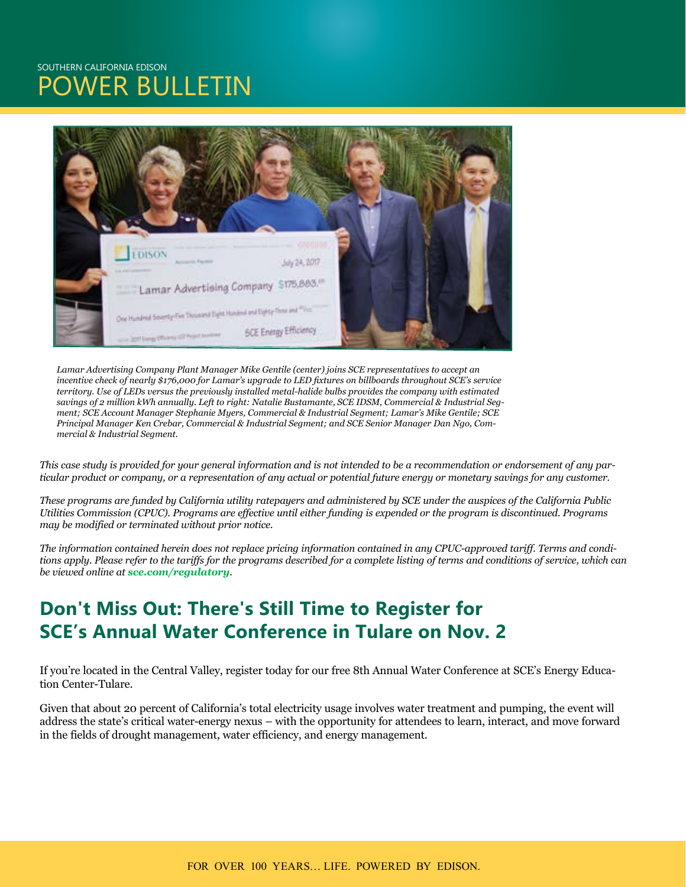## SOUTHERN CALIFORNIA EDISON **OWER BULLETIN**



*Lamar Advertising Company Plant Manager Mike Gentile (center) joins SCE representatives to accept an incentive check of nearly \$176,000 for Lamar's upgrade to LED fixtures on billboards throughout SCE's service territory. Use of LEDs versus the previously installed metal-halide bulbs provides the company with estimated savings of 2 million kWh annually. Left to right: Natalie Bustamante, SCE IDSM, Commercial & Industrial Segment; SCE Account Manager Stephanie Myers, Commercial & Industrial Segment; Lamar's Mike Gentile; SCE Principal Manager Ken Crebar, Commercial & Industrial Segment; and SCE Senior Manager Dan Ngo, Commercial & Industrial Segment.*

*This case study is provided for your general information and is not intended to be a recommendation or endorsement of any particular product or company, or a representation of any actual or potential future energy or monetary savings for any customer.* 

*These programs are funded by California utility ratepayers and administered by SCE under the auspices of the California Public Utilities Commission (CPUC). Programs are effective until either funding is expended or the program is discontinued. Programs may be modified or terminated without prior notice.* 

*The information contained herein does not replace pricing information contained in any CPUC-approved tariff. Terms and conditions apply. Please refer to the tariffs for the programs described for a complete listing of terms and conditions of service, which can be viewed online at [sce.com/regulatory](http://www.sce.com/regulatory).*

## **Don't Miss Out: There's Still Time to Register for SCE's Annual Water Conference in Tulare on Nov. 2**

If you're located in the Central Valley, register today for our free 8th Annual Water Conference at SCE's Energy Education Center-Tulare.

Given that about 20 percent of California's total electricity usage involves water treatment and pumping, the event will address the state's critical water-energy nexus – with the opportunity for attendees to learn, interact, and move forward in the fields of drought management, water efficiency, and energy management.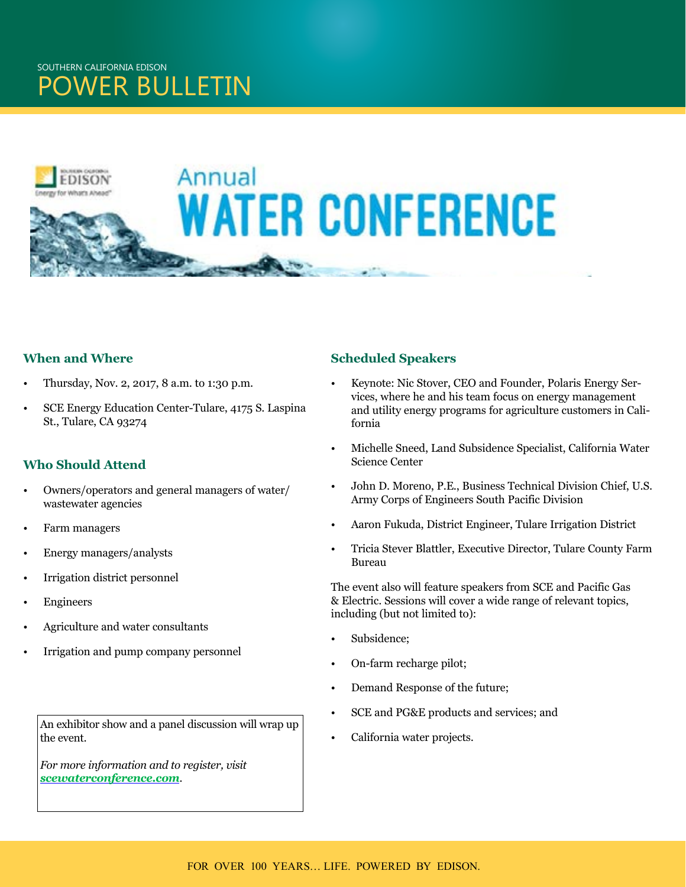

### **When and Where**

- Thursday, Nov. 2, 2017, 8 a.m. to 1:30 p.m.
- SCE Energy Education Center-Tulare, 4175 S. Laspina St., Tulare, CA 93274

### **Who Should Attend**

- Owners/operators and general managers of water/ wastewater agencies
- Farm managers
- Energy managers/analysts
- Irrigation district personnel
- **Engineers**
- Agriculture and water consultants
- Irrigation and pump company personnel

#### An exhibitor show and a panel discussion will wrap up the event.

*For more information and to register, visit [scewaterconference.com](http://www.scewaterconference.com/).* 

### **Scheduled Speakers**

- Keynote: Nic Stover, CEO and Founder, Polaris Energy Services, where he and his team focus on energy management and utility energy programs for agriculture customers in California
- Michelle Sneed, Land Subsidence Specialist, California Water Science Center
- John D. Moreno, P.E., Business Technical Division Chief, U.S. Army Corps of Engineers South Pacific Division
- Aaron Fukuda, District Engineer, Tulare Irrigation District
- Tricia Stever Blattler, Executive Director, Tulare County Farm Bureau

The event also will feature speakers from SCE and Pacific Gas & Electric. Sessions will cover a wide range of relevant topics, including (but not limited to):

- Subsidence:
- On-farm recharge pilot;
- Demand Response of the future;
- SCE and PG&E products and services; and
- California water projects.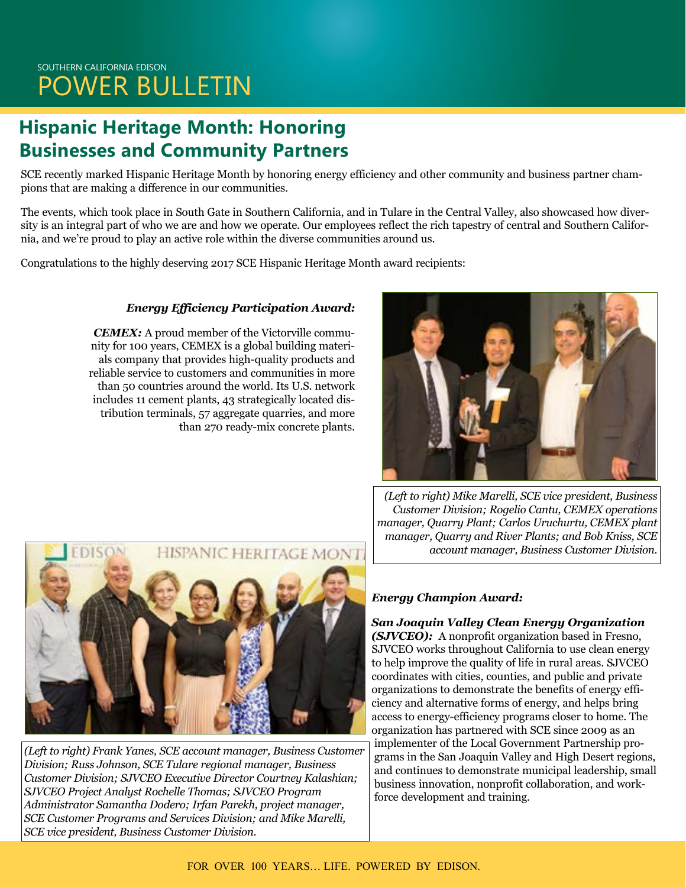# **Hispanic Heritage Month: Honoring Businesses and Community Partners**

SCE recently marked Hispanic Heritage Month by honoring energy efficiency and other community and business partner champions that are making a difference in our communities.

The events, which took place in South Gate in Southern California, and in Tulare in the Central Valley, also showcased how diversity is an integral part of who we are and how we operate. Our employees reflect the rich tapestry of central and Southern California, and we're proud to play an active role within the diverse communities around us.

Congratulations to the highly deserving 2017 SCE Hispanic Heritage Month award recipients:

### *Energy Efficiency Participation Award:*

*CEMEX:* A proud member of the Victorville community for 100 years, CEMEX is a global building materials company that provides high-quality products and reliable service to customers and communities in more than 50 countries around the world. Its U.S. network includes 11 cement plants, 43 strategically located distribution terminals, 57 aggregate quarries, and more than 270 ready-mix concrete plants.





*(Left to right) Frank Yanes, SCE account manager, Business Customer Division; Russ Johnson, SCE Tulare regional manager, Business Customer Division; SJVCEO Executive Director Courtney Kalashian; SJVCEO Project Analyst Rochelle Thomas; SJVCEO Program Administrator Samantha Dodero; Irfan Parekh, project manager, SCE Customer Programs and Services Division; and Mike Marelli, SCE vice president, Business Customer Division.* 

*(Left to right) Mike Marelli, SCE vice president, Business Customer Division; Rogelio Cantu, CEMEX operations manager, Quarry Plant; Carlos Uruchurtu, CEMEX plant manager, Quarry and River Plants; and Bob Kniss, SCE account manager, Business Customer Division.*

### *Energy Champion Award:*

*San Joaquin Valley Clean Energy Organization (SJVCEO):* A nonprofit organization based in Fresno, SJVCEO works throughout California to use clean energy to help improve the quality of life in rural areas. SJVCEO coordinates with cities, counties, and public and private organizations to demonstrate the benefits of energy efficiency and alternative forms of energy, and helps bring access to energy-efficiency programs closer to home. The organization has partnered with SCE since 2009 as an implementer of the Local Government Partnership programs in the San Joaquin Valley and High Desert regions, and continues to demonstrate municipal leadership, small business innovation, nonprofit collaboration, and workforce development and training.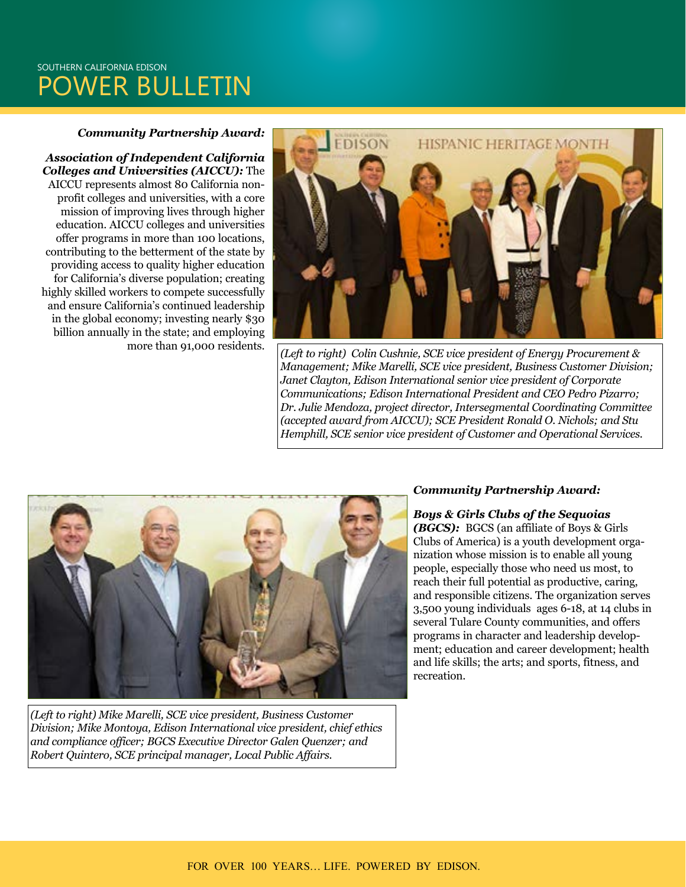## SOUTHERN CALIFORNIA EDISON POWER BULLETIN

#### *Community Partnership Award:*

*Association of Independent California Colleges and Universities (AICCU):* The AICCU represents almost 80 California nonprofit colleges and universities, with a core mission of improving lives through higher education. AICCU colleges and universities offer programs in more than 100 locations, contributing to the betterment of the state by providing access to quality higher education for California's diverse population; creating highly skilled workers to compete successfully and ensure California's continued leadership in the global economy; investing nearly \$30 billion annually in the state; and employing



more than 91,000 residents. *(Left to right) Colin Cushnie, SCE vice president of Energy Procurement & Management; Mike Marelli, SCE vice president, Business Customer Division; Janet Clayton, Edison International senior vice president of Corporate Communications; Edison International President and CEO Pedro Pizarro; Dr. Julie Mendoza, project director, Intersegmental Coordinating Committee (accepted award from AICCU); SCE President Ronald O. Nichols; and Stu Hemphill, SCE senior vice president of Customer and Operational Services.* 



*(Left to right) Mike Marelli, SCE vice president, Business Customer Division; Mike Montoya, Edison International vice president, chief ethics and compliance officer; BGCS Executive Director Galen Quenzer; and Robert Quintero, SCE principal manager, Local Public Affairs.*

#### *Community Partnership Award:*

*Boys & Girls Clubs of the Sequoias (BGCS):* BGCS (an affiliate of Boys & Girls Clubs of America) is a youth development organization whose mission is to enable all young people, especially those who need us most, to reach their full potential as productive, caring, and responsible citizens. The organization serves 3,500 young individuals ages 6-18, at 14 clubs in several Tulare County communities, and offers programs in character and leadership development; education and career development; health and life skills; the arts; and sports, fitness, and recreation.